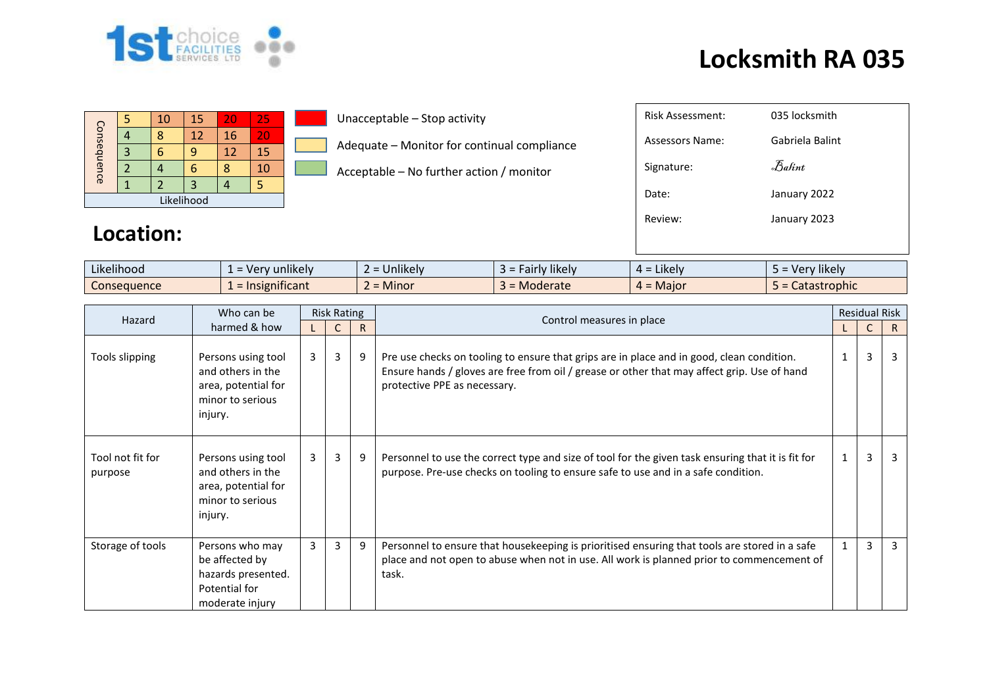

## **Locksmith RA 035**

| Consequence |  | 10 | 15 | 20 | 25  |  |  |
|-------------|--|----|----|----|-----|--|--|
|             |  |    | 12 | 16 | ZC. |  |  |
|             |  |    |    | 12 | 15  |  |  |
|             |  |    | п  |    | 10  |  |  |
|             |  |    |    |    |     |  |  |
| Likelihood  |  |    |    |    |     |  |  |

Unacceptable – Stop activity

Adequate – Monitor for continual compliance

Acceptable – No further action / monitor

| Risk Assessment: | 035 locksmith                  |
|------------------|--------------------------------|
| Assessors Name:  | Gabriela Balint                |
| Signature:       | $\mathcal{F}_{\mathit{abint}}$ |
| Date:            | January 2022                   |
| Review:          | January 2023                   |
|                  |                                |

## **Location:**

| $\cdots$<br>$\cdots$<br>Likelihood | sunlikely and the set of the set of the set of the set of the set of the set of the set of the set of the set o<br>. ver | $\cdots$<br>$\sim$<br><b>Jnlikely</b><br>- | $\cdots$<br>* likely<br>airly. | $\cdots$<br>$=$ Likely<br>ᅟ <i>ᅟ</i> | $\cdots$<br>Very likely |
|------------------------------------|--------------------------------------------------------------------------------------------------------------------------|--------------------------------------------|--------------------------------|--------------------------------------|-------------------------|
| Consequence                        | .<br>$\epsilon$ = Insignificant                                                                                          | .<br>. .<br>Minor<br>-                     | <b>Moderate</b>                | $=$ Maior<br>$\mu =$                 | Catastrophic            |

| Who can be<br>Hazard        |                                                                                               | <b>Risk Rating</b> |                |              |                                                                                                                                                                                                                          |              | <b>Residual Risk</b> |    |
|-----------------------------|-----------------------------------------------------------------------------------------------|--------------------|----------------|--------------|--------------------------------------------------------------------------------------------------------------------------------------------------------------------------------------------------------------------------|--------------|----------------------|----|
| harmed & how                |                                                                                               |                    |                | $\mathsf{R}$ | Control measures in place                                                                                                                                                                                                |              |                      | R. |
| Tools slipping              | Persons using tool<br>and others in the<br>area, potential for<br>minor to serious<br>injury. | $\mathbf{3}$       | $\mathbf{3}$   | 9            | Pre use checks on tooling to ensure that grips are in place and in good, clean condition.<br>Ensure hands / gloves are free from oil / grease or other that may affect grip. Use of hand<br>protective PPE as necessary. | $\mathbf{1}$ | 3                    | 3  |
| Tool not fit for<br>purpose | Persons using tool<br>and others in the<br>area, potential for<br>minor to serious<br>injury. | $\mathbf{3}$       | 3              | 9            | Personnel to use the correct type and size of tool for the given task ensuring that it is fit for<br>purpose. Pre-use checks on tooling to ensure safe to use and in a safe condition.                                   | $\mathbf{1}$ | 3                    | 3  |
| Storage of tools            | Persons who may<br>be affected by<br>hazards presented.<br>Potential for<br>moderate injury   | 3                  | $\overline{3}$ | 9            | Personnel to ensure that housekeeping is prioritised ensuring that tools are stored in a safe<br>place and not open to abuse when not in use. All work is planned prior to commencement of<br>task.                      | 1.           | $\overline{3}$       | 3  |